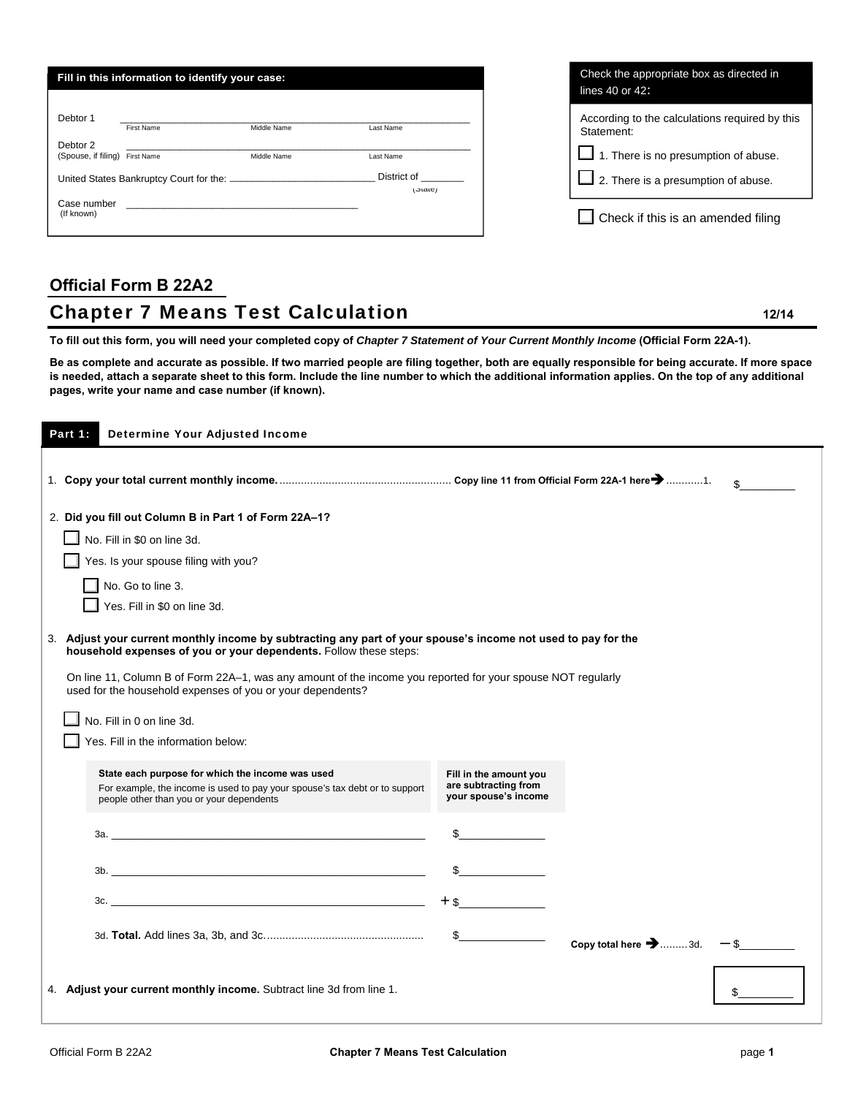|                                            | Fill in this information to identify your case:  |             |                                    | Check the appropriate box as directed in<br>lines $40$ or $42$ : |
|--------------------------------------------|--------------------------------------------------|-------------|------------------------------------|------------------------------------------------------------------|
|                                            |                                                  |             |                                    |                                                                  |
| Debtor 1                                   | First Name                                       | Middle Name | Last Name                          | According to the calculations required by this<br>Statement:     |
| Debtor 2<br>(Spouse, if filing) First Name |                                                  | Middle Name | Last Name                          | $\Box$ 1. There is no presumption of abuse.                      |
|                                            | United States Bankruptcy Court for the: ________ |             | District of<br>(O( <sub>0</sub> )) | $\Box$ 2. There is a presumption of abuse.                       |
| Case number<br>(If known)                  |                                                  |             |                                    | Check if this is an amended filing                               |

# **Official Form B 22A2 Chapter 7 Means Test Calculation <b>12/14** 12/14

**To fill out this form, you will need your completed copy of** *Chapter 7 Statement of Your Current Monthly Income* **(Official Form 22A-1).** 

**Be as complete and accurate as possible. If two married people are filing together, both are equally responsible for being accurate. If more space is needed, attach a separate sheet to this form. Include the line number to which the additional information applies. On the top of any additional pages, write your name and case number (if known).** 

| Part 1: | <b>Determine Your Adjusted Income</b>                                                                                                                                              |                                                                                                                                                                                                                                                                                                                                                                     |                                          |              |
|---------|------------------------------------------------------------------------------------------------------------------------------------------------------------------------------------|---------------------------------------------------------------------------------------------------------------------------------------------------------------------------------------------------------------------------------------------------------------------------------------------------------------------------------------------------------------------|------------------------------------------|--------------|
|         |                                                                                                                                                                                    |                                                                                                                                                                                                                                                                                                                                                                     |                                          | $\mathbf{s}$ |
|         | 2. Did you fill out Column B in Part 1 of Form 22A-1?                                                                                                                              |                                                                                                                                                                                                                                                                                                                                                                     |                                          |              |
|         | No. Fill in \$0 on line 3d.                                                                                                                                                        |                                                                                                                                                                                                                                                                                                                                                                     |                                          |              |
|         | Yes. Is your spouse filing with you?                                                                                                                                               |                                                                                                                                                                                                                                                                                                                                                                     |                                          |              |
|         | No. Go to line 3.                                                                                                                                                                  |                                                                                                                                                                                                                                                                                                                                                                     |                                          |              |
|         | Yes. Fill in \$0 on line 3d.                                                                                                                                                       |                                                                                                                                                                                                                                                                                                                                                                     |                                          |              |
|         | 3. Adjust your current monthly income by subtracting any part of your spouse's income not used to pay for the<br>household expenses of you or your dependents. Follow these steps: |                                                                                                                                                                                                                                                                                                                                                                     |                                          |              |
|         | On line 11, Column B of Form 22A-1, was any amount of the income you reported for your spouse NOT regularly<br>used for the household expenses of you or your dependents?          |                                                                                                                                                                                                                                                                                                                                                                     |                                          |              |
|         | No. Fill in 0 on line 3d.                                                                                                                                                          |                                                                                                                                                                                                                                                                                                                                                                     |                                          |              |
|         | Yes. Fill in the information below:                                                                                                                                                |                                                                                                                                                                                                                                                                                                                                                                     |                                          |              |
|         | State each purpose for which the income was used<br>For example, the income is used to pay your spouse's tax debt or to support<br>people other than you or your dependents        | Fill in the amount you<br>are subtracting from<br>your spouse's income                                                                                                                                                                                                                                                                                              |                                          |              |
|         |                                                                                                                                                                                    |                                                                                                                                                                                                                                                                                                                                                                     |                                          |              |
|         |                                                                                                                                                                                    |                                                                                                                                                                                                                                                                                                                                                                     |                                          |              |
|         |                                                                                                                                                                                    | $+$ \$                                                                                                                                                                                                                                                                                                                                                              |                                          |              |
|         |                                                                                                                                                                                    | $\begin{picture}(20,20) \put(0,0){\vector(1,0){100}} \put(15,0){\vector(1,0){100}} \put(15,0){\vector(1,0){100}} \put(15,0){\vector(1,0){100}} \put(15,0){\vector(1,0){100}} \put(15,0){\vector(1,0){100}} \put(15,0){\vector(1,0){100}} \put(15,0){\vector(1,0){100}} \put(15,0){\vector(1,0){100}} \put(15,0){\vector(1,0){100}} \put(15,0){\vector(1,0){100}} \$ | Copy total here $\rightarrow$ 3d. $-$ \$ |              |
|         | 4. Adjust your current monthly income. Subtract line 3d from line 1.                                                                                                               |                                                                                                                                                                                                                                                                                                                                                                     |                                          |              |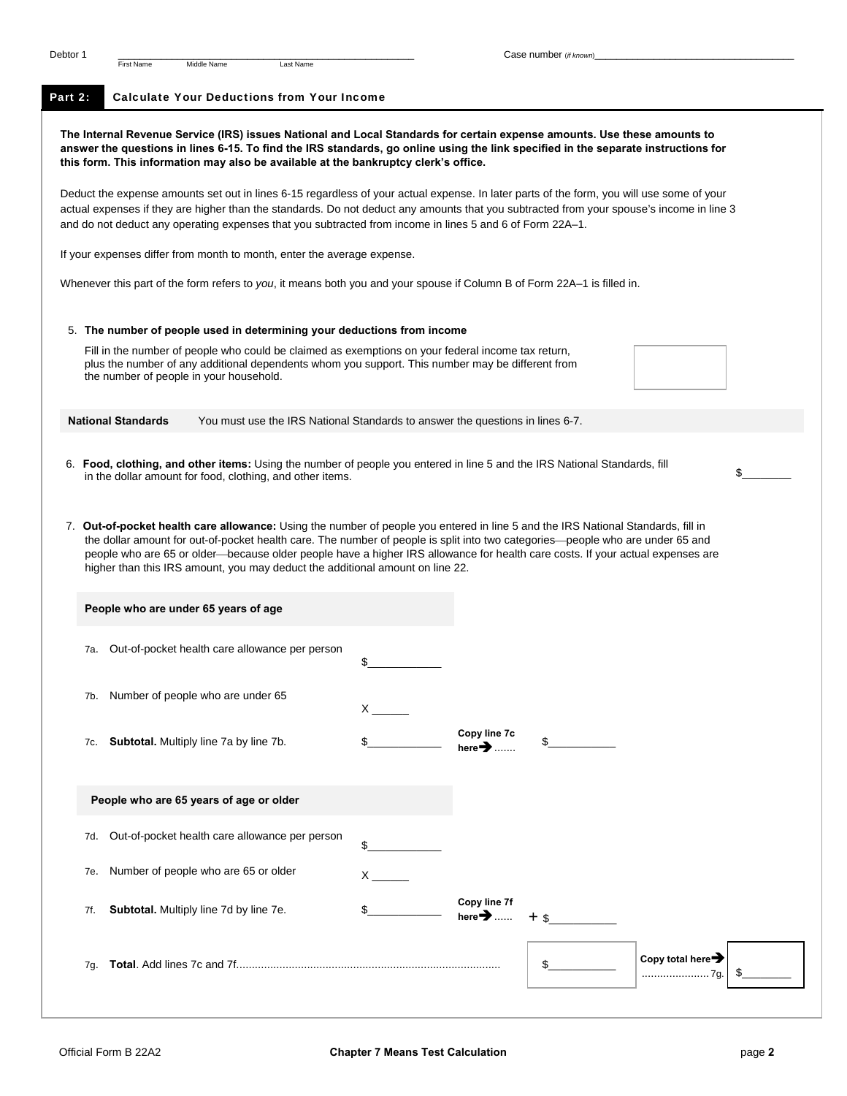# Part 2: Calculate Your Deductions from Your Income

**The Internal Revenue Service (IRS) issues National and Local Standards for certain expense amounts. Use these amounts to answer the questions in lines 6-15. To find the IRS standards, go online using the link specified in the separate instructions for this form. This information may also be available at the bankruptcy clerk's office.** 

Deduct the expense amounts set out in lines 6-15 regardless of your actual expense. In later parts of the form, you will use some of your actual expenses if they are higher than the standards. Do not deduct any amounts that you subtracted from your spouse's income in line 3 and do not deduct any operating expenses that you subtracted from income in lines 5 and 6 of Form 22A–1.

If your expenses differ from month to month, enter the average expense.

Whenever this part of the form refers to *you*, it means both you and your spouse if Column B of Form 22A–1 is filled in.

## 5. **The number of people used in determining your deductions from income**

Fill in the number of people who could be claimed as exemptions on your federal income tax return, plus the number of any additional dependents whom you support. This number may be different from the number of people in your household.

**National Standards** You must use the IRS National Standards to answer the questions in lines 6-7.

- 6. **Food, clothing, and other items:** Using the number of people you entered in line 5 and the IRS National Standards, fill in the dollar amount for food, clothing, and other items.
- 7. **Out-of-pocket health care allowance:** Using the number of people you entered in line 5 and the IRS National Standards, fill in the dollar amount for out-of-pocket health care. The number of people is split into two categories—people who are under 65 and people who are 65 or older—because older people have a higher IRS allowance for health care costs. If your actual expenses are higher than this IRS amount, you may deduct the additional amount on line 22.

| People who are under 65 years of age                  |                                                                                                                                                                                                                                                                                                  |                                            |                 |
|-------------------------------------------------------|--------------------------------------------------------------------------------------------------------------------------------------------------------------------------------------------------------------------------------------------------------------------------------------------------|--------------------------------------------|-----------------|
| Out-of-pocket health care allowance per person<br>7а. | \$                                                                                                                                                                                                                                                                                               |                                            |                 |
| Number of people who are under 65<br>7b.              | $\mathsf{X}$ and $\mathsf{X}$ and $\mathsf{X}$ and $\mathsf{X}$ are $\mathsf{X}$ and $\mathsf{X}$ and $\mathsf{X}$ are $\mathsf{X}$ and $\mathsf{X}$ are $\mathsf{X}$ and $\mathsf{X}$ are $\mathsf{X}$ and $\mathsf{X}$ are $\mathsf{X}$ and $\mathsf{X}$ are $\mathsf{X}$ and $\mathsf{X}$ are |                                            |                 |
| Subtotal. Multiply line 7a by line 7b.<br>7c.         |                                                                                                                                                                                                                                                                                                  | Copy line 7c<br>here $\blacktriangleright$ | \$              |
|                                                       |                                                                                                                                                                                                                                                                                                  |                                            |                 |
| People who are 65 years of age or older               |                                                                                                                                                                                                                                                                                                  |                                            |                 |
| Out-of-pocket health care allowance per person<br>7d. | \$                                                                                                                                                                                                                                                                                               |                                            |                 |
| Number of people who are 65 or older<br>7e.           | $\times$                                                                                                                                                                                                                                                                                         |                                            |                 |
| Subtotal. Multiply line 7d by line 7e.<br>7f.         | \$                                                                                                                                                                                                                                                                                               | Copy line 7f<br>here $\rightarrow$ + \$    |                 |
| 7q.                                                   |                                                                                                                                                                                                                                                                                                  |                                            | Copy total here |
|                                                       |                                                                                                                                                                                                                                                                                                  |                                            |                 |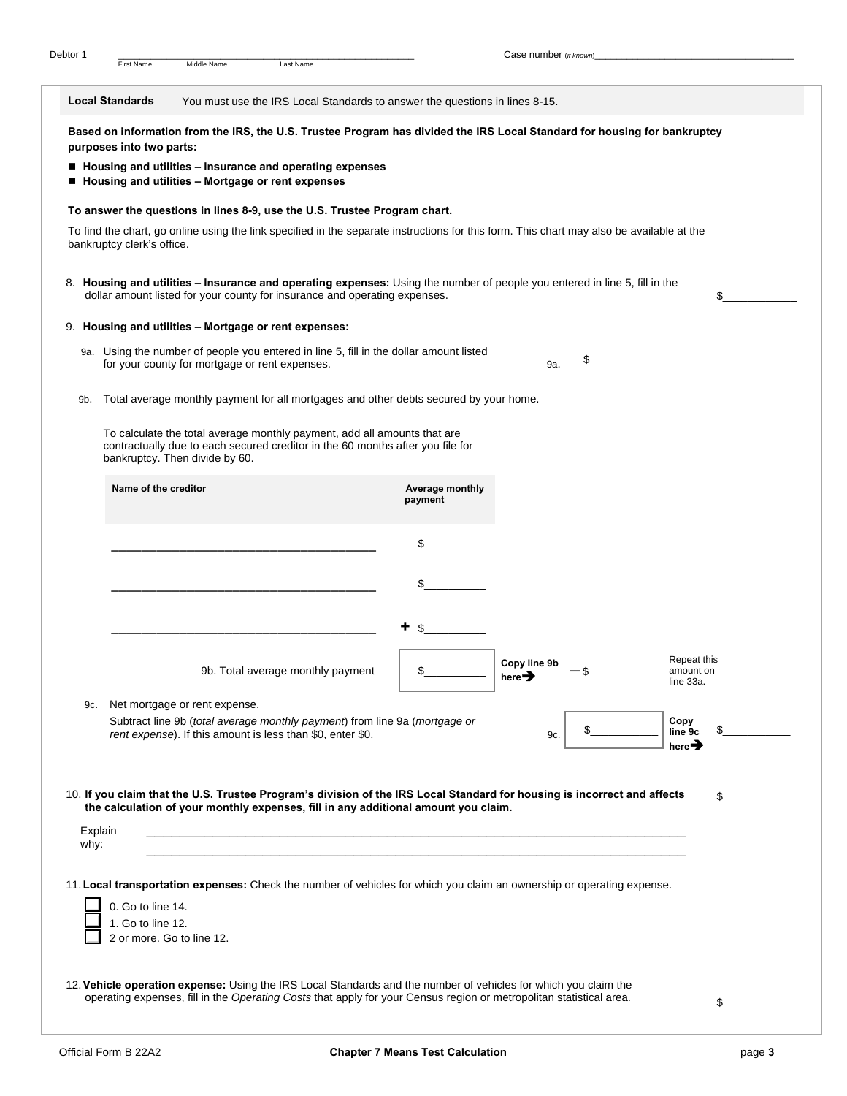**Local Standards** You must use the IRS Local Standards to answer the questions in lines 8-15. **Based on information from the IRS, the U.S. Trustee Program has divided the IRS Local Standard for housing for bankruptcy purposes into two parts: Housing and utilities – Insurance and operating expenses** 

■ Housing and utilities – Mortgage or rent expenses

### **To answer the questions in lines 8-9, use the U.S. Trustee Program chart.**

To find the chart, go online using the link specified in the separate instructions for this form. This chart may also be available at the bankruptcy clerk's office.

8. **Housing and utilities – Insurance and operating expenses:** Using the number of people you entered in line 5, fill in the dollar amount listed for your county for insurance and operating expenses.  $\qquad$ 

## 9. **Housing and utilities – Mortgage or rent expenses:**

- 9a. Using the number of people you entered in line 5, fill in the dollar amount listed for your county for mortgage or rent expenses. 9a. \$\_\_\_\_\_\_\_\_\_\_\_
- 9b. Total average monthly payment for all mortgages and other debts secured by your home.

To calculate the total average monthly payment, add all amounts that are contractually due to each secured creditor in the 60 months after you file for bankruptcy. Then divide by 60.

|                 | Name of the creditor                                                                                                                                                                                           | Average monthly<br>payment |                                    |                                       |
|-----------------|----------------------------------------------------------------------------------------------------------------------------------------------------------------------------------------------------------------|----------------------------|------------------------------------|---------------------------------------|
|                 |                                                                                                                                                                                                                | \$                         |                                    |                                       |
|                 |                                                                                                                                                                                                                | \$                         |                                    |                                       |
|                 |                                                                                                                                                                                                                | ٠<br>\$                    |                                    |                                       |
|                 | 9b. Total average monthly payment                                                                                                                                                                              |                            | Copy line 9b<br>here $\rightarrow$ | Repeat this<br>amount on<br>line 33a. |
| 9c.             | Net mortgage or rent expense.                                                                                                                                                                                  |                            |                                    |                                       |
|                 | Subtract line 9b (total average monthly payment) from line 9a (mortgage or                                                                                                                                     |                            |                                    | Copy                                  |
|                 | rent expense). If this amount is less than \$0, enter \$0.                                                                                                                                                     |                            | 9c.                                | \$<br>line 9c<br>here $\rightarrow$   |
| Explain<br>why: | 10. If you claim that the U.S. Trustee Program's division of the IRS Local Standard for housing is incorrect and affects<br>the calculation of your monthly expenses, fill in any additional amount you claim. |                            |                                    | \$                                    |
|                 | 11. Local transportation expenses: Check the number of vehicles for which you claim an ownership or operating expense.                                                                                         |                            |                                    |                                       |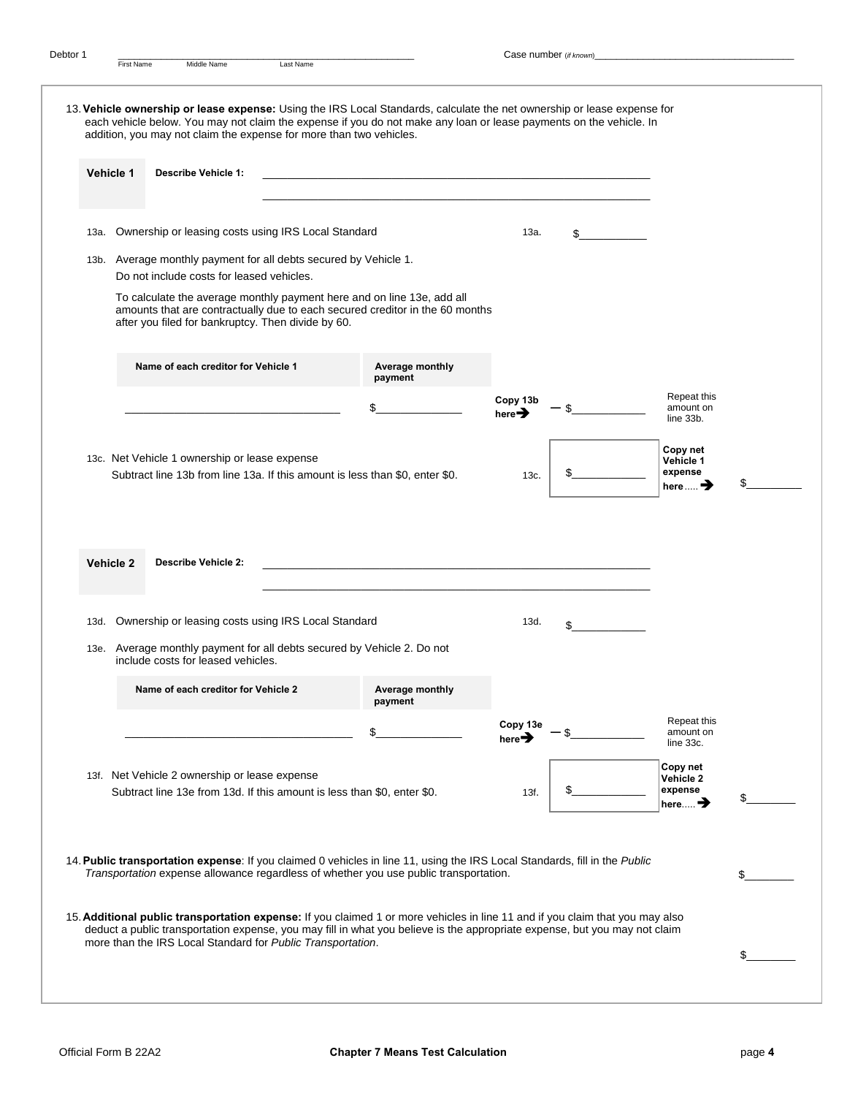|      | Vehicle 1 | <b>Describe Vehicle 1:</b>                                                                                                                                          | <u> 1989 - Johann Stoff, amerikansk politiker (d. 1989)</u>                                                                                                                                                                                                 |                                |                                                        |    |
|------|-----------|---------------------------------------------------------------------------------------------------------------------------------------------------------------------|-------------------------------------------------------------------------------------------------------------------------------------------------------------------------------------------------------------------------------------------------------------|--------------------------------|--------------------------------------------------------|----|
| 13a. |           | Ownership or leasing costs using IRS Local Standard                                                                                                                 |                                                                                                                                                                                                                                                             | 13a.                           | \$                                                     |    |
|      |           | 13b. Average monthly payment for all debts secured by Vehicle 1.<br>Do not include costs for leased vehicles.<br>after you filed for bankruptcy. Then divide by 60. | To calculate the average monthly payment here and on line 13e, add all<br>amounts that are contractually due to each secured creditor in the 60 months                                                                                                      |                                |                                                        |    |
|      |           | Name of each creditor for Vehicle 1                                                                                                                                 | Average monthly<br>payment                                                                                                                                                                                                                                  |                                |                                                        |    |
|      |           |                                                                                                                                                                     | \$                                                                                                                                                                                                                                                          | Copy 13b<br>here $\rightarrow$ | Repeat this<br>amount on<br>line 33b.                  |    |
|      |           | 13c. Net Vehicle 1 ownership or lease expense                                                                                                                       | Subtract line 13b from line 13a. If this amount is less than \$0, enter \$0.                                                                                                                                                                                | 13c.                           | Copy net<br>Vehicle 1<br>expense<br>here $\mathbf{m}$  | \$ |
|      |           |                                                                                                                                                                     |                                                                                                                                                                                                                                                             |                                |                                                        |    |
|      | Vehicle 2 | <b>Describe Vehicle 2:</b>                                                                                                                                          | <u> 1989 - Johann John Stoff, deutscher Stoffen und der Stoffen und der Stoffen und der Stoffen und der Stoffen u</u>                                                                                                                                       |                                |                                                        |    |
|      |           | 13d. Ownership or leasing costs using IRS Local Standard                                                                                                            |                                                                                                                                                                                                                                                             | 13d.                           | \$                                                     |    |
|      |           | 13e. Average monthly payment for all debts secured by Vehicle 2. Do not<br>include costs for leased vehicles.                                                       |                                                                                                                                                                                                                                                             |                                |                                                        |    |
|      |           | Name of each creditor for Vehicle 2                                                                                                                                 | Average monthly<br>payment                                                                                                                                                                                                                                  |                                |                                                        |    |
|      |           |                                                                                                                                                                     |                                                                                                                                                                                                                                                             | Copy 13e<br>here $\rightarrow$ | Repeat this<br>amount on<br>line 33c.                  |    |
|      |           | 13f. Net Vehicle 2 ownership or lease expense<br>Subtract line 13e from 13d. If this amount is less than \$0, enter \$0.                                            |                                                                                                                                                                                                                                                             | 13f.                           | Copy net<br>Vehicle 2<br>expense<br>here $\rightarrow$ | \$ |
|      |           |                                                                                                                                                                     | 14. Public transportation expense: If you claimed 0 vehicles in line 11, using the IRS Local Standards, fill in the Public<br>Transportation expense allowance regardless of whether you use public transportation.                                         |                                |                                                        | \$ |
|      |           |                                                                                                                                                                     | 15. Additional public transportation expense: If you claimed 1 or more vehicles in line 11 and if you claim that you may also<br>deduct a public transportation expense, you may fill in what you believe is the appropriate expense, but you may not claim |                                |                                                        |    |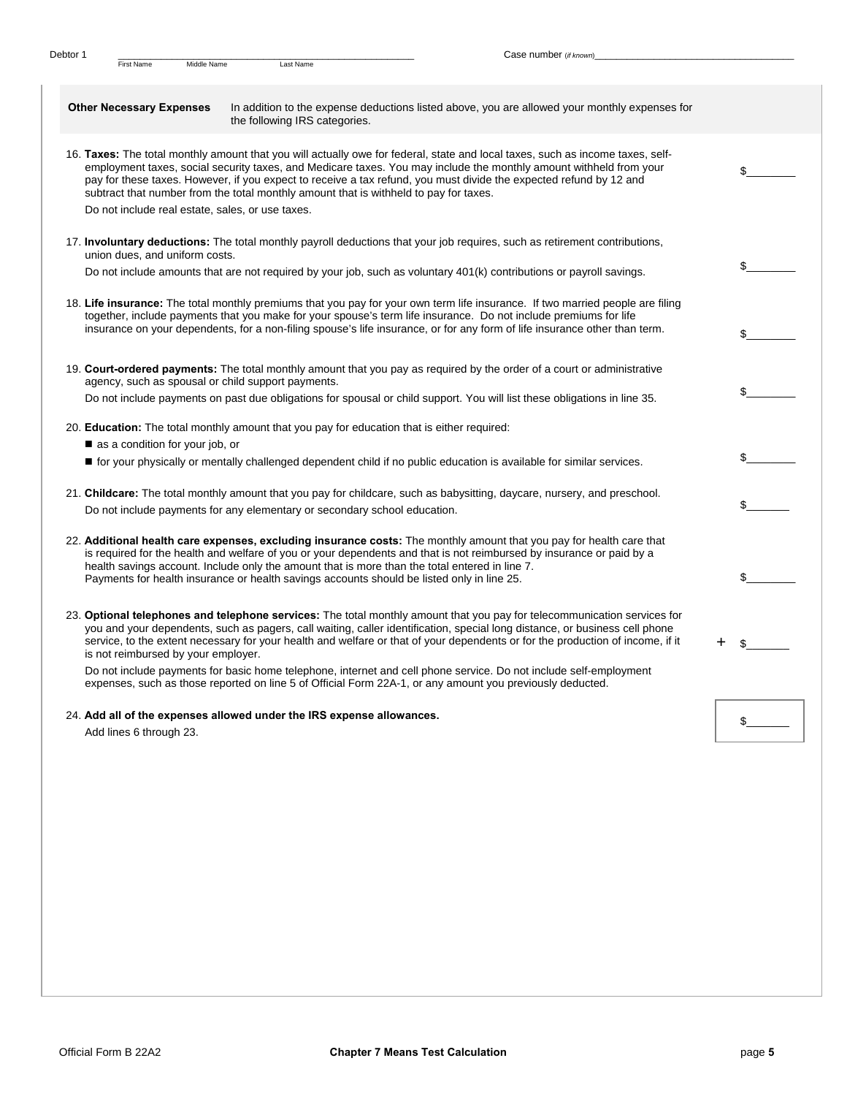| <b>Other Necessary Expenses</b>                    | In addition to the expense deductions listed above, you are allowed your monthly expenses for<br>the following IRS categories.                                                                                                                                                                                                                                                                                                                                      |              |
|----------------------------------------------------|---------------------------------------------------------------------------------------------------------------------------------------------------------------------------------------------------------------------------------------------------------------------------------------------------------------------------------------------------------------------------------------------------------------------------------------------------------------------|--------------|
|                                                    | 16. Taxes: The total monthly amount that you will actually owe for federal, state and local taxes, such as income taxes, self-<br>employment taxes, social security taxes, and Medicare taxes. You may include the monthly amount withheld from your<br>pay for these taxes. However, if you expect to receive a tax refund, you must divide the expected refund by 12 and<br>subtract that number from the total monthly amount that is withheld to pay for taxes. | $\mathbb{S}$ |
| Do not include real estate, sales, or use taxes.   |                                                                                                                                                                                                                                                                                                                                                                                                                                                                     |              |
| union dues, and uniform costs.                     | 17. <b>Involuntary deductions:</b> The total monthly payroll deductions that your job requires, such as retirement contributions,                                                                                                                                                                                                                                                                                                                                   |              |
|                                                    | Do not include amounts that are not required by your job, such as voluntary 401(k) contributions or payroll savings.                                                                                                                                                                                                                                                                                                                                                | \$           |
|                                                    | 18. Life insurance: The total monthly premiums that you pay for your own term life insurance. If two married people are filing<br>together, include payments that you make for your spouse's term life insurance. Do not include premiums for life<br>insurance on your dependents, for a non-filing spouse's life insurance, or for any form of life insurance other than term.                                                                                    | \$           |
|                                                    |                                                                                                                                                                                                                                                                                                                                                                                                                                                                     |              |
| agency, such as spousal or child support payments. | 19. Court-ordered payments: The total monthly amount that you pay as required by the order of a court or administrative                                                                                                                                                                                                                                                                                                                                             |              |
|                                                    | Do not include payments on past due obligations for spousal or child support. You will list these obligations in line 35.                                                                                                                                                                                                                                                                                                                                           | \$           |
| as a condition for your job, or                    | 20. <b>Education:</b> The total monthly amount that you pay for education that is either required:                                                                                                                                                                                                                                                                                                                                                                  |              |
|                                                    | ■ for your physically or mentally challenged dependent child if no public education is available for similar services.                                                                                                                                                                                                                                                                                                                                              | \$           |
|                                                    | 21. Childcare: The total monthly amount that you pay for childcare, such as babysitting, daycare, nursery, and preschool.<br>Do not include payments for any elementary or secondary school education.                                                                                                                                                                                                                                                              | \$           |
|                                                    |                                                                                                                                                                                                                                                                                                                                                                                                                                                                     |              |
|                                                    | 22. Additional health care expenses, excluding insurance costs: The monthly amount that you pay for health care that<br>is required for the health and welfare of you or your dependents and that is not reimbursed by insurance or paid by a<br>health savings account. Include only the amount that is more than the total entered in line 7.                                                                                                                     |              |
|                                                    | Payments for health insurance or health savings accounts should be listed only in line 25.                                                                                                                                                                                                                                                                                                                                                                          | \$           |
| is not reimbursed by your employer.                | 23. Optional telephones and telephone services: The total monthly amount that you pay for telecommunication services for<br>you and your dependents, such as pagers, call waiting, caller identification, special long distance, or business cell phone<br>service, to the extent necessary for your health and welfare or that of your dependents or for the production of income, if it                                                                           | +<br>\$      |
|                                                    | Do not include payments for basic home telephone, internet and cell phone service. Do not include self-employment<br>expenses, such as those reported on line 5 of Official Form 22A-1, or any amount you previously deducted.                                                                                                                                                                                                                                      |              |
|                                                    | 24. Add all of the expenses allowed under the IRS expense allowances.                                                                                                                                                                                                                                                                                                                                                                                               |              |
| Add lines 6 through 23.                            |                                                                                                                                                                                                                                                                                                                                                                                                                                                                     | \$           |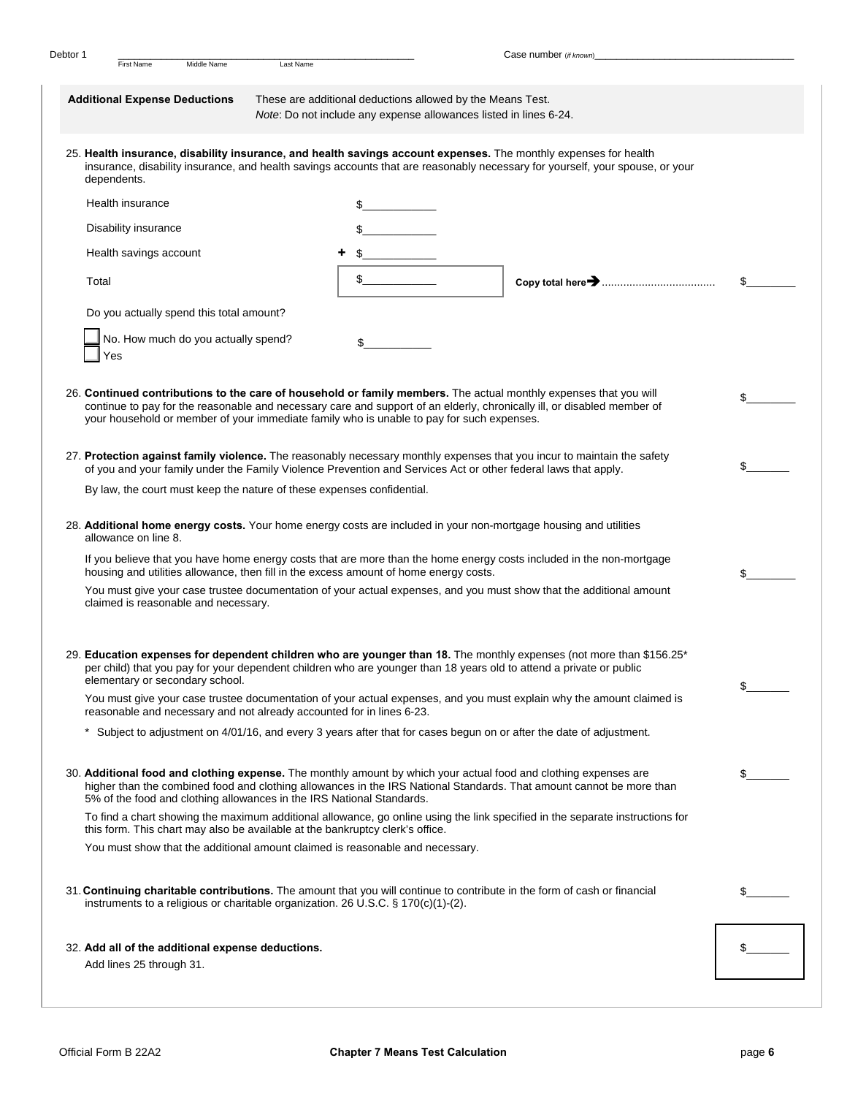|       |                                                                        |           |                                                                                                                                                                                                                   | Case number (if known)                                                                                                        |    |
|-------|------------------------------------------------------------------------|-----------|-------------------------------------------------------------------------------------------------------------------------------------------------------------------------------------------------------------------|-------------------------------------------------------------------------------------------------------------------------------|----|
|       | <b>First Name</b><br>Middle Name                                       | Last Name |                                                                                                                                                                                                                   |                                                                                                                               |    |
|       | <b>Additional Expense Deductions</b>                                   |           | These are additional deductions allowed by the Means Test.<br>Note: Do not include any expense allowances listed in lines 6-24.                                                                                   |                                                                                                                               |    |
|       | dependents.                                                            |           | 25. Health insurance, disability insurance, and health savings account expenses. The monthly expenses for health                                                                                                  | insurance, disability insurance, and health savings accounts that are reasonably necessary for yourself, your spouse, or your |    |
|       | Health insurance                                                       |           | \$                                                                                                                                                                                                                |                                                                                                                               |    |
|       | Disability insurance                                                   |           |                                                                                                                                                                                                                   |                                                                                                                               |    |
|       | Health savings account                                                 |           |                                                                                                                                                                                                                   |                                                                                                                               |    |
| Total |                                                                        |           | \$                                                                                                                                                                                                                |                                                                                                                               | \$ |
|       | Do you actually spend this total amount?                               |           |                                                                                                                                                                                                                   |                                                                                                                               |    |
|       | No. How much do you actually spend?<br>Yes                             |           | \$                                                                                                                                                                                                                |                                                                                                                               |    |
|       |                                                                        |           | 26. Continued contributions to the care of household or family members. The actual monthly expenses that you will<br>your household or member of your immediate family who is unable to pay for such expenses.    | continue to pay for the reasonable and necessary care and support of an elderly, chronically ill, or disabled member of       | \$ |
|       |                                                                        |           | of you and your family under the Family Violence Prevention and Services Act or other federal laws that apply.                                                                                                    | 27. Protection against family violence. The reasonably necessary monthly expenses that you incur to maintain the safety       | \$ |
|       | By law, the court must keep the nature of these expenses confidential. |           |                                                                                                                                                                                                                   |                                                                                                                               |    |
|       | allowance on line 8.                                                   |           | 28. Additional home energy costs. Your home energy costs are included in your non-mortgage housing and utilities                                                                                                  |                                                                                                                               |    |
|       |                                                                        |           | housing and utilities allowance, then fill in the excess amount of home energy costs.                                                                                                                             | If you believe that you have home energy costs that are more than the home energy costs included in the non-mortgage          | \$ |
|       | claimed is reasonable and necessary.                                   |           |                                                                                                                                                                                                                   | You must give your case trustee documentation of your actual expenses, and you must show that the additional amount           |    |
|       | elementary or secondary school.                                        |           | per child) that you pay for your dependent children who are younger than 18 years old to attend a private or public                                                                                               | 29. Education expenses for dependent children who are younger than 18. The monthly expenses (not more than \$156.25*          | \$ |
|       | reasonable and necessary and not already accounted for in lines 6-23.  |           |                                                                                                                                                                                                                   | You must give your case trustee documentation of your actual expenses, and you must explain why the amount claimed is         |    |
|       |                                                                        |           | * Subject to adjustment on 4/01/16, and every 3 years after that for cases begun on or after the date of adjustment.                                                                                              |                                                                                                                               |    |
|       | 5% of the food and clothing allowances in the IRS National Standards.  |           | 30. Additional food and clothing expense. The monthly amount by which your actual food and clothing expenses are                                                                                                  | higher than the combined food and clothing allowances in the IRS National Standards. That amount cannot be more than          | \$ |
|       |                                                                        |           |                                                                                                                                                                                                                   | To find a chart showing the maximum additional allowance, go online using the link specified in the separate instructions for |    |
|       |                                                                        |           |                                                                                                                                                                                                                   |                                                                                                                               |    |
|       |                                                                        |           | this form. This chart may also be available at the bankruptcy clerk's office.<br>You must show that the additional amount claimed is reasonable and necessary.                                                    |                                                                                                                               |    |
|       |                                                                        |           | 31. Continuing charitable contributions. The amount that you will continue to contribute in the form of cash or financial<br>instruments to a religious or charitable organization. 26 U.S.C. $\S$ 170(c)(1)-(2). |                                                                                                                               | \$ |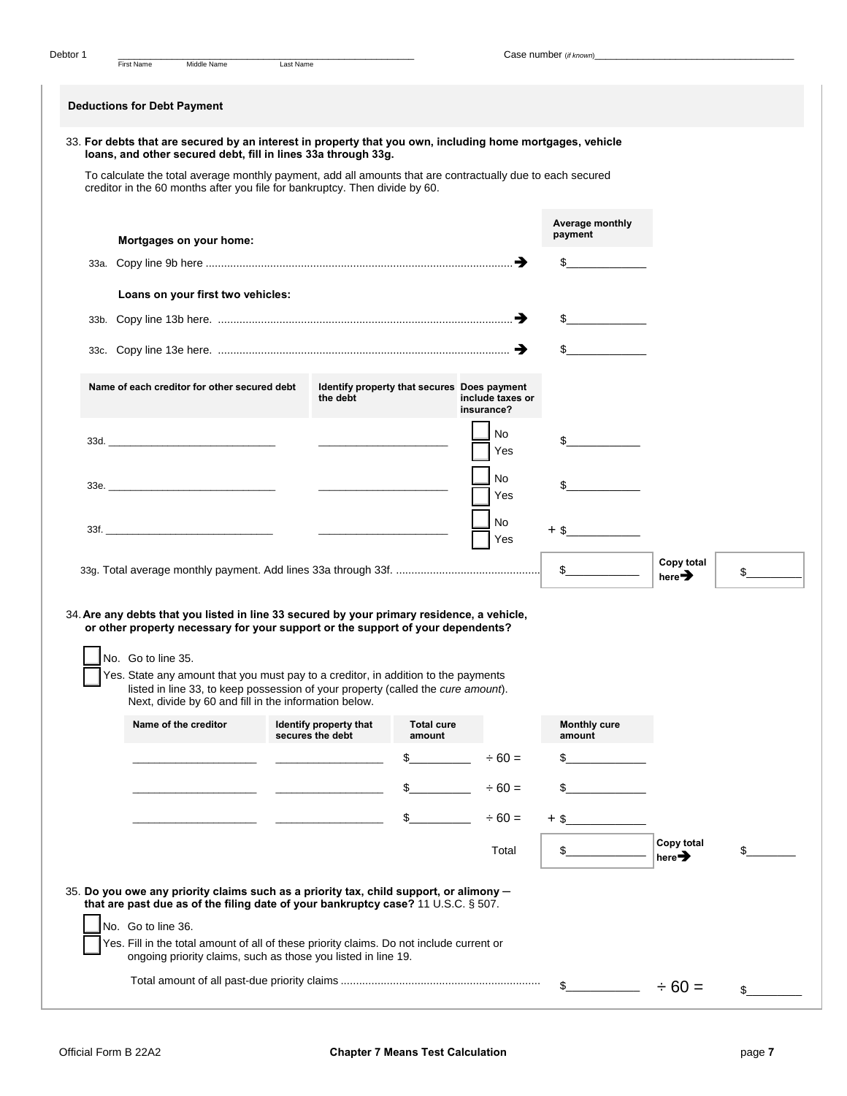| <b>Deductions for Debt Payment</b>                                                                                                                                                                                              |                  |                        |                                             |                                |                               |                                  |    |
|---------------------------------------------------------------------------------------------------------------------------------------------------------------------------------------------------------------------------------|------------------|------------------------|---------------------------------------------|--------------------------------|-------------------------------|----------------------------------|----|
| 33. For debts that are secured by an interest in property that you own, including home mortgages, vehicle<br>loans, and other secured debt, fill in lines 33a through 33g.                                                      |                  |                        |                                             |                                |                               |                                  |    |
| To calculate the total average monthly payment, add all amounts that are contractually due to each secured                                                                                                                      |                  |                        |                                             |                                |                               |                                  |    |
| creditor in the 60 months after you file for bankruptcy. Then divide by 60.                                                                                                                                                     |                  |                        |                                             |                                |                               |                                  |    |
|                                                                                                                                                                                                                                 |                  |                        |                                             |                                | Average monthly<br>payment    |                                  |    |
| Mortgages on your home:                                                                                                                                                                                                         |                  |                        |                                             |                                | \$                            |                                  |    |
|                                                                                                                                                                                                                                 |                  |                        |                                             |                                |                               |                                  |    |
| Loans on your first two vehicles:                                                                                                                                                                                               |                  |                        |                                             |                                |                               |                                  |    |
|                                                                                                                                                                                                                                 |                  |                        |                                             |                                |                               |                                  |    |
|                                                                                                                                                                                                                                 |                  |                        |                                             |                                | $\mathbb{S}$                  |                                  |    |
| Name of each creditor for other secured debt                                                                                                                                                                                    |                  | the debt               | Identify property that secures Does payment | include taxes or<br>insurance? |                               |                                  |    |
| 33d.                                                                                                                                                                                                                            |                  |                        |                                             | No<br>Yes                      |                               |                                  |    |
| 33e.                                                                                                                                                                                                                            |                  |                        |                                             | No.<br>Yes                     |                               |                                  |    |
|                                                                                                                                                                                                                                 |                  |                        |                                             | No<br>Yes                      | $+$ \$                        |                                  |    |
|                                                                                                                                                                                                                                 |                  |                        |                                             |                                | $\frac{1}{2}$                 | Copy total<br>here $\rightarrow$ | \$ |
| 34. Are any debts that you listed in line 33 secured by your primary residence, a vehicle,<br>or other property necessary for your support or the support of your dependents?<br>No. Go to line 35.                             |                  |                        |                                             |                                |                               |                                  |    |
| Yes. State any amount that you must pay to a creditor, in addition to the payments<br>listed in line 33, to keep possession of your property (called the cure amount).<br>Next, divide by 60 and fill in the information below. |                  |                        |                                             |                                |                               |                                  |    |
| Name of the creditor                                                                                                                                                                                                            | secures the debt | Identify property that | <b>Total cure</b><br>amount                 |                                | <b>Monthly cure</b><br>amount |                                  |    |
|                                                                                                                                                                                                                                 |                  |                        | \$                                          | $\div 60 =$                    | \$                            |                                  |    |
|                                                                                                                                                                                                                                 |                  |                        | \$                                          | $\div 60 =$                    | \$                            |                                  |    |
|                                                                                                                                                                                                                                 |                  |                        | \$                                          | $\div 60 =$                    | $+$ \$                        |                                  |    |
|                                                                                                                                                                                                                                 |                  |                        |                                             | Total                          | \$_                           | Copy total<br>here $\rightarrow$ | \$ |
| 35. Do you owe any priority claims such as a priority tax, child support, or alimony –<br>that are past due as of the filing date of your bankruptcy case? 11 U.S.C. § 507.                                                     |                  |                        |                                             |                                |                               |                                  |    |
| No. Go to line 36.<br>Yes. Fill in the total amount of all of these priority claims. Do not include current or<br>ongoing priority claims, such as those you listed in line 19.                                                 |                  |                        |                                             |                                |                               |                                  |    |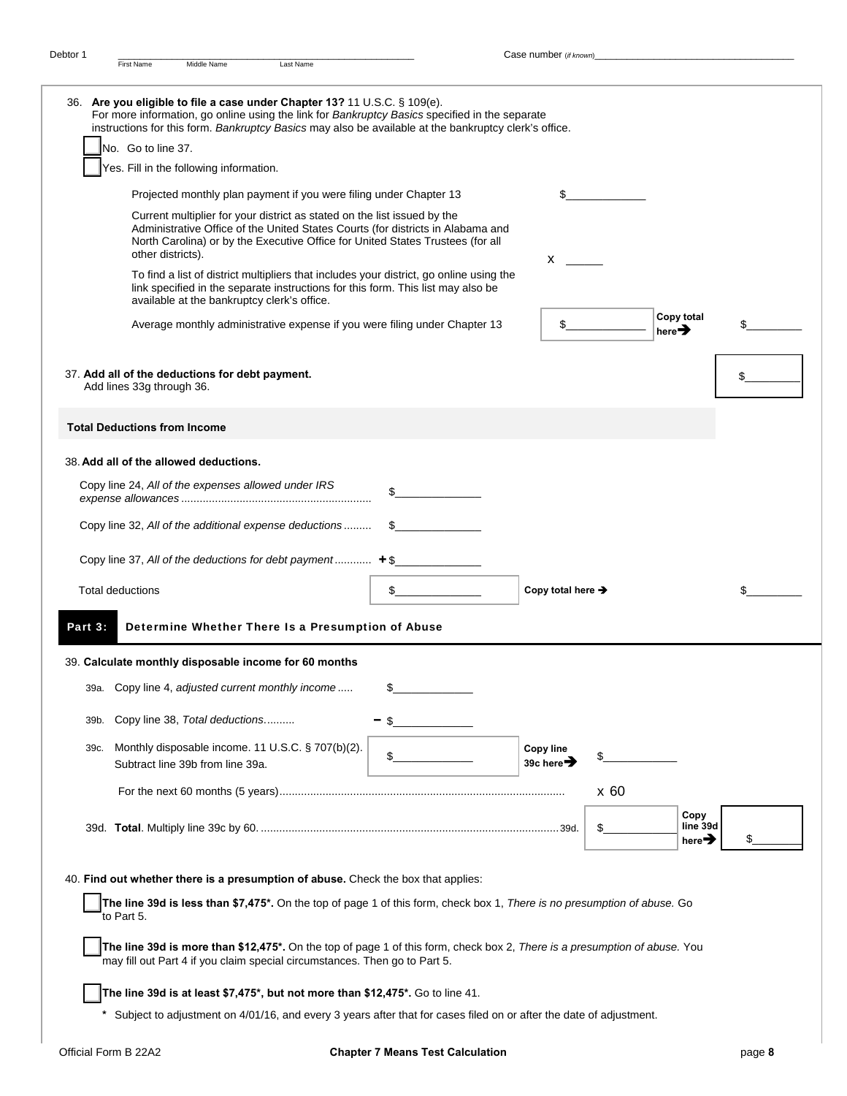|                         | 36. Are you eligible to file a case under Chapter 13? 11 U.S.C. § 109(e).<br>For more information, go online using the link for Bankruptcy Basics specified in the separate<br>instructions for this form. Bankruptcy Basics may also be available at the bankruptcy clerk's office. |                                            |      |                                        |    |
|-------------------------|--------------------------------------------------------------------------------------------------------------------------------------------------------------------------------------------------------------------------------------------------------------------------------------|--------------------------------------------|------|----------------------------------------|----|
|                         | No. Go to line 37.                                                                                                                                                                                                                                                                   |                                            |      |                                        |    |
|                         | Yes. Fill in the following information.                                                                                                                                                                                                                                              |                                            |      |                                        |    |
|                         | Projected monthly plan payment if you were filing under Chapter 13                                                                                                                                                                                                                   | \$                                         |      |                                        |    |
|                         | Current multiplier for your district as stated on the list issued by the<br>Administrative Office of the United States Courts (for districts in Alabama and<br>North Carolina) or by the Executive Office for United States Trustees (for all<br>other districts).                   | X.                                         |      |                                        |    |
|                         | To find a list of district multipliers that includes your district, go online using the<br>link specified in the separate instructions for this form. This list may also be<br>available at the bankruptcy clerk's office.                                                           |                                            |      |                                        |    |
|                         | Average monthly administrative expense if you were filing under Chapter 13                                                                                                                                                                                                           | $\frac{2}{2}$                              |      | Copy total<br>here $\rightarrow$       | \$ |
|                         | 37. Add all of the deductions for debt payment.<br>Add lines 33g through 36.                                                                                                                                                                                                         |                                            |      |                                        | \$ |
|                         | <b>Total Deductions from Income</b>                                                                                                                                                                                                                                                  |                                            |      |                                        |    |
|                         | 38. Add all of the allowed deductions.                                                                                                                                                                                                                                               |                                            |      |                                        |    |
|                         | Copy line 24, All of the expenses allowed under IRS                                                                                                                                                                                                                                  | \$                                         |      |                                        |    |
|                         | Copy line 32, All of the additional expense deductions                                                                                                                                                                                                                               |                                            |      |                                        |    |
|                         | Copy line 37, All of the deductions for debt payment $+$ \$                                                                                                                                                                                                                          |                                            |      |                                        |    |
| <b>Total deductions</b> |                                                                                                                                                                                                                                                                                      | Copy total here $\rightarrow$              |      |                                        | \$ |
|                         |                                                                                                                                                                                                                                                                                      |                                            |      |                                        |    |
| Part 3:                 | Determine Whether There Is a Presumption of Abuse                                                                                                                                                                                                                                    |                                            |      |                                        |    |
|                         | 39. Calculate monthly disposable income for 60 months                                                                                                                                                                                                                                |                                            |      |                                        |    |
|                         | 39a. Copy line 4, adjusted current monthly income                                                                                                                                                                                                                                    |                                            |      |                                        |    |
| 39b.                    | Copy line 38, Total deductions                                                                                                                                                                                                                                                       |                                            |      |                                        |    |
| 39c.                    | Monthly disposable income. 11 U.S.C. § 707(b)(2).<br>Subtract line 39b from line 39a.                                                                                                                                                                                                | <b>Copy line</b><br>39c here $\rightarrow$ | \$   |                                        |    |
|                         |                                                                                                                                                                                                                                                                                      |                                            | x 60 |                                        |    |
|                         |                                                                                                                                                                                                                                                                                      |                                            | \$   | Copy<br>line 39d<br>here $\rightarrow$ |    |
|                         |                                                                                                                                                                                                                                                                                      |                                            |      |                                        |    |
|                         | 40. Find out whether there is a presumption of abuse. Check the box that applies:                                                                                                                                                                                                    |                                            |      |                                        |    |
|                         | The line 39d is less than \$7,475*. On the top of page 1 of this form, check box 1, There is no presumption of abuse. Go<br>to Part 5.                                                                                                                                               |                                            |      |                                        |    |
|                         | The line 39d is more than \$12,475*. On the top of page 1 of this form, check box 2, There is a presumption of abuse. You<br>may fill out Part 4 if you claim special circumstances. Then go to Part 5.                                                                              |                                            |      |                                        |    |
|                         | The line 39d is at least \$7,475*, but not more than \$12,475*. Go to line 41.                                                                                                                                                                                                       |                                            |      |                                        |    |